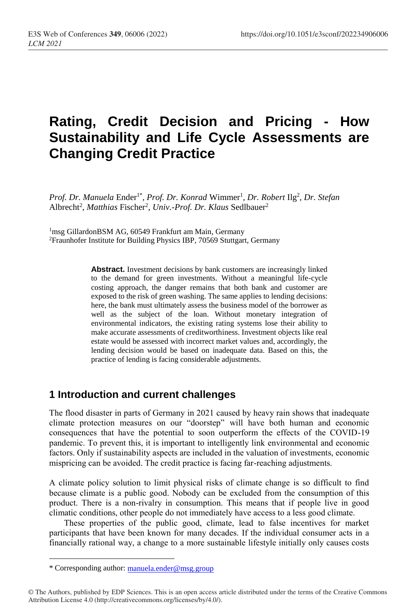# **Rating, Credit Decision and Pricing - How Sustainability and Life Cycle Assessments are Changing Credit Practice**

Prof. Dr. Manuela Ender<sup>1\*</sup>, Prof. Dr. Konrad Wimmer<sup>1</sup>, Dr. Robert Ilg<sup>2</sup>, Dr. Stefan Albrecht<sup>2</sup>, Matthias Fischer<sup>2</sup>, Univ.-Prof. Dr. Klaus Sedlbauer<sup>2</sup>

<sup>1</sup>msg GillardonBSM AG, 60549 Frankfurt am Main, Germany <sup>2</sup>Fraunhofer Institute for Building Physics IBP, 70569 Stuttgart, Germany

> **Abstract.** Investment decisions by bank customers are increasingly linked to the demand for green investments. Without a meaningful life-cycle costing approach, the danger remains that both bank and customer are exposed to the risk of green washing. The same applies to lending decisions: here, the bank must ultimately assess the business model of the borrower as well as the subject of the loan. Without monetary integration of environmental indicators, the existing rating systems lose their ability to make accurate assessments of creditworthiness. Investment objects like real estate would be assessed with incorrect market values and, accordingly, the lending decision would be based on inadequate data. Based on this, the practice of lending is facing considerable adjustments.

### **1 Introduction and current challenges**

The flood disaster in parts of Germany in 2021 caused by heavy rain shows that inadequate climate protection measures on our "doorstep" will have both human and economic consequences that have the potential to soon outperform the effects of the COVID-19 pandemic. To prevent this, it is important to intelligently link environmental and economic factors. Only if sustainability aspects are included in the valuation of investments, economic mispricing can be avoided. The credit practice is facing far-reaching adjustments.

A climate policy solution to limit physical risks of climate change is so difficult to find because climate is a public good. Nobody can be excluded from the consumption of this product. There is a non-rivalry in consumption. This means that if people live in good climatic conditions, other people do not immediately have access to a less good climate.

These properties of the public good, climate, lead to false incentives for market participants that have been known for many decades. If the individual consumer acts in a financially rational way, a change to a more sustainable lifestyle initially only causes costs

 $\overline{a}$ 

<sup>\*</sup> Corresponding author: [manuela.ender@msg.group](mailto:manuela.ender@msg.group)

<sup>©</sup> The Authors, published by EDP Sciences. This is an open access article distributed under the terms of the Creative Commons Attribution License 4.0 (http://creativecommons.org/licenses/by/4.0/).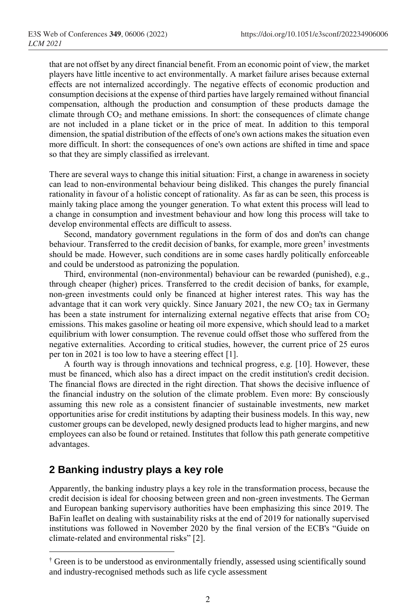that are not offset by any direct financial benefit. From an economic point of view, the market players have little incentive to act environmentally. A market failure arises because external effects are not internalized accordingly. The negative effects of economic production and consumption decisions at the expense of third parties have largely remained without financial compensation, although the production and consumption of these products damage the climate through  $CO<sub>2</sub>$  and methane emissions. In short: the consequences of climate change are not included in a plane ticket or in the price of meat. In addition to this temporal dimension, the spatial distribution of the effects of one's own actions makes the situation even more difficult. In short: the consequences of one's own actions are shifted in time and space so that they are simply classified as irrelevant.

There are several ways to change this initial situation: First, a change in awareness in society can lead to non-environmental behaviour being disliked. This changes the purely financial rationality in favour of a holistic concept of rationality. As far as can be seen, this process is mainly taking place among the younger generation. To what extent this process will lead to a change in consumption and investment behaviour and how long this process will take to develop environmental effects are difficult to assess.

Second, mandatory government regulations in the form of dos and don'ts can change behaviour. Transferred to the credit decision of banks, for example, more green<sup>†</sup> investments should be made. However, such conditions are in some cases hardly politically enforceable and could be understood as patronizing the population.

Third, environmental (non-environmental) behaviour can be rewarded (punished), e.g., through cheaper (higher) prices. Transferred to the credit decision of banks, for example, non-green investments could only be financed at higher interest rates. This way has the advantage that it can work very quickly. Since January 2021, the new  $CO<sub>2</sub>$  tax in Germany has been a state instrument for internalizing external negative effects that arise from  $CO<sub>2</sub>$ emissions. This makes gasoline or heating oil more expensive, which should lead to a market equilibrium with lower consumption. The revenue could offset those who suffered from the negative externalities. According to critical studies, however, the current price of 25 euros per ton in 2021 is too low to have a steering effect [1].

A fourth way is through innovations and technical progress, e.g. [\[10\]](#page-5-0). However, these must be financed, which also has a direct impact on the credit institution's credit decision. The financial flows are directed in the right direction. That shows the decisive influence of the financial industry on the solution of the climate problem. Even more: By consciously assuming this new role as a consistent financier of sustainable investments, new market opportunities arise for credit institutions by adapting their business models. In this way, new customer groups can be developed, newly designed products lead to higher margins, and new employees can also be found or retained. Institutes that follow this path generate competitive advantages.

### **2 Banking industry plays a key role**

 $\overline{a}$ 

Apparently, the banking industry plays a key role in the transformation process, because the credit decision is ideal for choosing between green and non-green investments. The German and European banking supervisory authorities have been emphasizing this since 2019. The BaFin leaflet on dealing with sustainability risks at the end of 2019 for nationally supervised institutions was followed in November 2020 by the final version of the ECB's "Guide on climate-related and environmental risks" [2].

<sup>†</sup> Green is to be understood as environmentally friendly, assessed using scientifically sound and industry-recognised methods such as life cycle assessment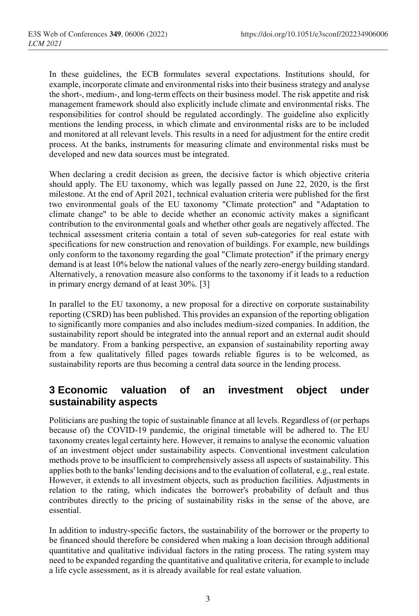In these guidelines, the ECB formulates several expectations. Institutions should, for example, incorporate climate and environmental risks into their business strategy and analyse the short-, medium-, and long-term effects on their business model. The risk appetite and risk management framework should also explicitly include climate and environmental risks. The responsibilities for control should be regulated accordingly. The guideline also explicitly mentions the lending process, in which climate and environmental risks are to be included and monitored at all relevant levels. This results in a need for adjustment for the entire credit process. At the banks, instruments for measuring climate and environmental risks must be developed and new data sources must be integrated.

When declaring a credit decision as green, the decisive factor is which objective criteria should apply. The EU taxonomy, which was legally passed on June 22, 2020, is the first milestone. At the end of April 2021, technical evaluation criteria were published for the first two environmental goals of the EU taxonomy "Climate protection" and "Adaptation to climate change" to be able to decide whether an economic activity makes a significant contribution to the environmental goals and whether other goals are negatively affected. The technical assessment criteria contain a total of seven sub-categories for real estate with specifications for new construction and renovation of buildings. For example, new buildings only conform to the taxonomy regarding the goal "Climate protection" if the primary energy demand is at least 10% below the national values of the nearly zero-energy building standard. Alternatively, a renovation measure also conforms to the taxonomy if it leads to a reduction in primary energy demand of at least 30%. [3]

In parallel to the EU taxonomy, a new proposal for a directive on corporate sustainability reporting (CSRD) has been published. This provides an expansion of the reporting obligation to significantly more companies and also includes medium-sized companies. In addition, the sustainability report should be integrated into the annual report and an external audit should be mandatory. From a banking perspective, an expansion of sustainability reporting away from a few qualitatively filled pages towards reliable figures is to be welcomed, as sustainability reports are thus becoming a central data source in the lending process.

### **3 Economic valuation of an investment object under sustainability aspects**

Politicians are pushing the topic of sustainable finance at all levels. Regardless of (or perhaps because of) the COVID-19 pandemic, the original timetable will be adhered to. The EU taxonomy creates legal certainty here. However, it remains to analyse the economic valuation of an investment object under sustainability aspects. Conventional investment calculation methods prove to be insufficient to comprehensively assess all aspects of sustainability. This applies both to the banks' lending decisions and to the evaluation of collateral, e.g., real estate. However, it extends to all investment objects, such as production facilities. Adjustments in relation to the rating, which indicates the borrower's probability of default and thus contributes directly to the pricing of sustainability risks in the sense of the above, are essential.

In addition to industry-specific factors, the sustainability of the borrower or the property to be financed should therefore be considered when making a loan decision through additional quantitative and qualitative individual factors in the rating process. The rating system may need to be expanded regarding the quantitative and qualitative criteria, for example to include a life cycle assessment, as it is already available for real estate valuation.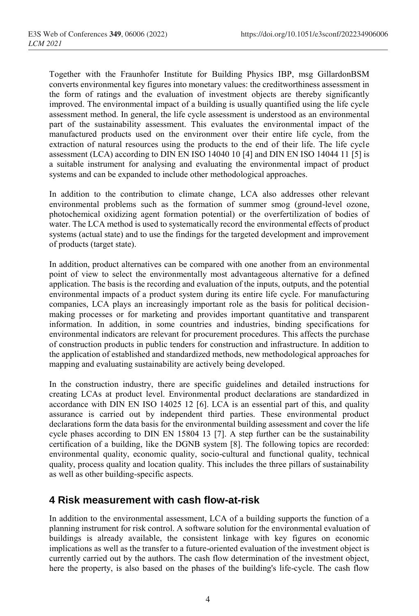Together with the Fraunhofer Institute for Building Physics IBP, msg GillardonBSM converts environmental key figures into monetary values: the creditworthiness assessment in the form of ratings and the evaluation of investment objects are thereby significantly improved. The environmental impact of a building is usually quantified using the life cycle assessment method. In general, the life cycle assessment is understood as an environmental part of the sustainability assessment. This evaluates the environmental impact of the manufactured products used on the environment over their entire life cycle, from the extraction of natural resources using the products to the end of their life. The life cycle assessment (LCA) according to DIN EN ISO 14040 10 [4] and DIN EN ISO 14044 11 [5] is a suitable instrument for analysing and evaluating the environmental impact of product systems and can be expanded to include other methodological approaches.

In addition to the contribution to climate change, LCA also addresses other relevant environmental problems such as the formation of summer smog (ground-level ozone, photochemical oxidizing agent formation potential) or the overfertilization of bodies of water. The LCA method is used to systematically record the environmental effects of product systems (actual state) and to use the findings for the targeted development and improvement of products (target state).

In addition, product alternatives can be compared with one another from an environmental point of view to select the environmentally most advantageous alternative for a defined application. The basis is the recording and evaluation of the inputs, outputs, and the potential environmental impacts of a product system during its entire life cycle. For manufacturing companies, LCA plays an increasingly important role as the basis for political decisionmaking processes or for marketing and provides important quantitative and transparent information. In addition, in some countries and industries, binding specifications for environmental indicators are relevant for procurement procedures. This affects the purchase of construction products in public tenders for construction and infrastructure. In addition to the application of established and standardized methods, new methodological approaches for mapping and evaluating sustainability are actively being developed.

In the construction industry, there are specific guidelines and detailed instructions for creating LCAs at product level. Environmental product declarations are standardized in accordance with DIN EN ISO 14025 12 [6]. LCA is an essential part of this, and quality assurance is carried out by independent third parties. These environmental product declarations form the data basis for the environmental building assessment and cover the life cycle phases according to DIN EN 15804 13 [7]. A step further can be the sustainability certification of a building, like the DGNB system [8]. The following topics are recorded: environmental quality, economic quality, socio-cultural and functional quality, technical quality, process quality and location quality. This includes the three pillars of sustainability as well as other building-specific aspects.

#### **4 Risk measurement with cash flow-at-risk**

In addition to the environmental assessment, LCA of a building supports the function of a planning instrument for risk control. A software solution for the environmental evaluation of buildings is already available, the consistent linkage with key figures on economic implications as well as the transfer to a future-oriented evaluation of the investment object is currently carried out by the authors. The cash flow determination of the investment object, here the property, is also based on the phases of the building's life-cycle. The cash flow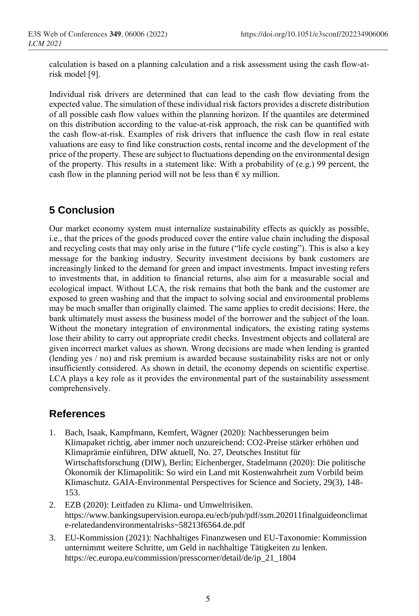calculation is based on a planning calculation and a risk assessment using the cash flow-atrisk model [9].

Individual risk drivers are determined that can lead to the cash flow deviating from the expected value. The simulation of these individual risk factors provides a discrete distribution of all possible cash flow values within the planning horizon. If the quantiles are determined on this distribution according to the value-at-risk approach, the risk can be quantified with the cash flow-at-risk. Examples of risk drivers that influence the cash flow in real estate valuations are easy to find like construction costs, rental income and the development of the price of the property. These are subject to fluctuations depending on the environmental design of the property. This results in a statement like: With a probability of (e.g.) 99 percent, the cash flow in the planning period will not be less than  $\epsilon$  xy million.

## **5 Conclusion**

Our market economy system must internalize sustainability effects as quickly as possible, i.e., that the prices of the goods produced cover the entire value chain including the disposal and recycling costs that may only arise in the future ("life cycle costing"). This is also a key message for the banking industry. Security investment decisions by bank customers are increasingly linked to the demand for green and impact investments. Impact investing refers to investments that, in addition to financial returns, also aim for a measurable social and ecological impact. Without LCA, the risk remains that both the bank and the customer are exposed to green washing and that the impact to solving social and environmental problems may be much smaller than originally claimed. The same applies to credit decisions: Here, the bank ultimately must assess the business model of the borrower and the subject of the loan. Without the monetary integration of environmental indicators, the existing rating systems lose their ability to carry out appropriate credit checks. Investment objects and collateral are given incorrect market values as shown. Wrong decisions are made when lending is granted (lending yes / no) and risk premium is awarded because sustainability risks are not or only insufficiently considered. As shown in detail, the economy depends on scientific expertise. LCA plays a key role as it provides the environmental part of the sustainability assessment comprehensively.

### **References**

- 1. Bach, Isaak, Kampfmann, Kemfert, Wägner (2020): Nachbesserungen beim Klimapaket richtig, aber immer noch unzureichend: CO2-Preise stärker erhöhen und Klimaprämie einführen, DIW aktuell, No. 27, Deutsches Institut für Wirtschaftsforschung (DIW), Berlin; Eichenberger, Stadelmann (2020): Die politische Ökonomik der Klimapolitik: So wird ein Land mit Kostenwahrheit zum Vorbild beim Klimaschutz. GAIA-Environmental Perspectives for Science and Society, 29(3), 148- 153.
- 2. EZB (2020): Leitfaden zu Klima- und Umweltrisiken. https://www.bankingsupervision.europa.eu/ecb/pub/pdf/ssm.202011finalguideonclimat e-relatedandenvironmentalrisks~58213f6564.de.pdf
- 3. EU-Kommission (2021): Nachhaltiges Finanzwesen und EU-Taxonomie: Kommission unternimmt weitere Schritte, um Geld in nachhaltige Tätigkeiten zu lenken. https://ec.europa.eu/commission/presscorner/detail/de/ip\_21\_1804